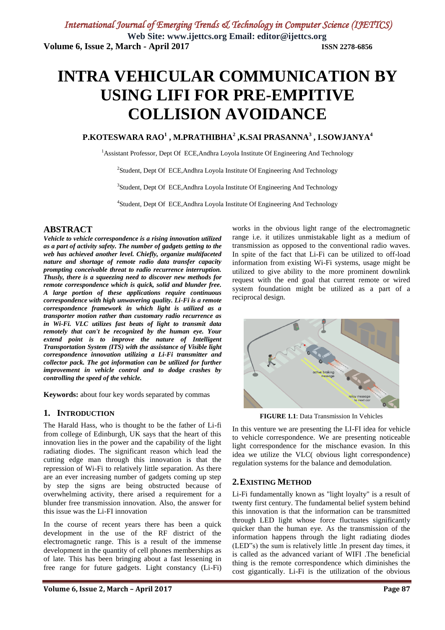# **INTRA VEHICULAR COMMUNICATION BY USING LIFI FOR PRE-EMPITIVE COLLISION AVOIDANCE**

#### **P.KOTESWARA RAO<sup>1</sup> , M.PRATHIBHA<sup>2</sup> ,K.SAI PRASANNA<sup>3</sup> , I.SOWJANYA<sup>4</sup>**

<sup>1</sup>Assistant Professor, Dept Of ECE, Andhra Loyola Institute Of Engineering And Technology

<sup>2</sup>Student, Dept Of ECE, Andhra Loyola Institute Of Engineering And Technology

<sup>3</sup>Student, Dept Of ECE, Andhra Loyola Institute Of Engineering And Technology

<sup>4</sup>Student, Dept Of ECE, Andhra Loyola Institute Of Engineering And Technology

#### **ABSTRACT**

*Vehicle to vehicle correspondence is a rising innovation utilized as a part of activity safety. The number of gadgets getting to the web has achieved another level. Chiefly, organize multifaceted nature and shortage of remote radio data transfer capacity prompting conceivable threat to radio recurrence interruption. Thusly, there is a squeezing need to discover new methods for remote correspondence which is quick, solid and blunder free. A large portion of these applications require continuous correspondence with high unwavering quality. Li-Fi is a remote correspondence framework in which light is utilized as a transporter motion rather than customary radio recurrence as in Wi-Fi. VLC utilizes fast beats of light to transmit data remotely that can't be recognized by the human eye. Your extend point is to improve the nature of Intelligent Transportation System (ITS) with the assistance of Visible light correspondence innovation utilizing a Li-Fi transmitter and collector pack. The got information can be utilized for further improvement in vehicle control and to dodge crashes by controlling the speed of the vehicle.*

**Keywords:** about four key words separated by commas

#### **1. INTRODUCTION**

The Harald Hass, who is thought to be the father of Li-fi from college of Edinburgh, UK says that the heart of this innovation lies in the power and the capability of the light radiating diodes. The significant reason which lead the cutting edge man through this innovation is that the repression of Wi-Fi to relatively little separation. As there are an ever increasing number of gadgets coming up step by step the signs are being obstructed because of overwhelming activity, there arised a requirement for a blunder free transmission innovation. Also, the answer for this issue was the Li-FI innovation

In the course of recent years there has been a quick development in the use of the RF district of the electromagnetic range. This is a result of the immense development in the quantity of cell phones memberships as of late. This has been bringing about a fast lessening in free range for future gadgets. Light constancy (Li-Fi)

works in the obvious light range of the electromagnetic range i.e. it utilizes unmistakable light as a medium of transmission as opposed to the conventional radio waves. In spite of the fact that Li-Fi can be utilized to off-load information from existing Wi-Fi systems, usage might be utilized to give ability to the more prominent downlink request with the end goal that current remote or wired system foundation might be utilized as a part of a reciprocal design.



**FIGURE 1.1**: Data Transmission In Vehicles

In this venture we are presenting the LI-FI idea for vehicle to vehicle correspondence. We are presenting noticeable light correspondence for the mischance evasion. In this idea we utilize the VLC( obvious light correspondence) regulation systems for the balance and demodulation.

#### **2.EXISTING METHOD**

Li-Fi fundamentally known as "light loyalty" is a result of twenty first century. The fundamental belief system behind this innovation is that the information can be transmitted through LED light whose force fluctuates significantly quicker than the human eye. As the transmission of the information happens through the light radiating diodes (LED"s) the sum is relatively little .In present day times, it is called as the advanced variant of WIFI .The beneficial thing is the remote correspondence which diminishes the cost gigantically. Li-Fi is the utilization of the obvious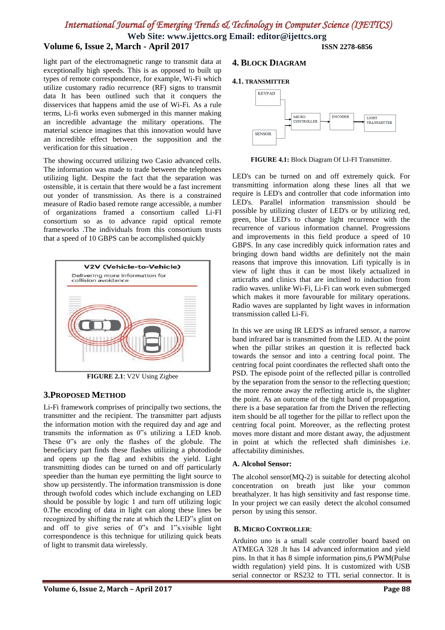**Web Site: www.ijettcs.org Email: editor@ijettcs.org**

### **Volume 6, Issue 2, March - April 2017 ISSN 2278-6856**

light part of the electromagnetic range to transmit data at exceptionally high speeds. This is as opposed to built up types of remote correspondence, for example, Wi-Fi which utilize customary radio recurrence (RF) signs to transmit data It has been outlined such that it conquers the disservices that happens amid the use of Wi-Fi. As a rule terms, Li-fi works even submerged in this manner making an incredible advantage the military operations. The material science imagines that this innovation would have an incredible effect between the supposition and the verification for this situation .

The showing occurred utilizing two Casio advanced cells. The information was made to trade between the telephones utilizing light. Despite the fact that the separation was ostensible, it is certain that there would be a fast increment out yonder of transmission. As there is a constrained measure of Radio based remote range accessible, a number of organizations framed a consortium called Li-FI consortium so as to advance rapid optical remote frameworks .The individuals from this consortium trusts that a speed of 10 GBPS can be accomplished quickly



**FIGURE 2.1**: V2V Using Zigbee

#### **3.PROPOSED METHOD**

Li-Fi framework comprises of principally two sections, the transmitter and the recipient. The transmitter part adjusts the information motion with the required day and age and transmits the information as 0"s utilizing a LED knob. These 0"s are only the flashes of the globule. The beneficiary part finds these flashes utilizing a photodiode and opens up the flag and exhibits the yield. Light transmitting diodes can be turned on and off particularly speedier than the human eye permitting the light source to show up persistently. The information transmission is done through twofold codes which include exchanging on LED should be possible by logic 1 and turn off utilizing logic 0.The encoding of data in light can along these lines be recognized by shifting the rate at which the LED"s glint on and off to give series of 0"s and 1"s.visible light correspondence is this technique for utilizing quick beats of light to transmit data wirelessly.

#### **4. BLOCK DIAGRAM**

#### **4.1. TRANSMITTER**



**FIGURE 4.1:** Block Diagram Of LI-FI Transmitter.

LED's can be turned on and off extremely quick. For transmitting information along these lines all that we require is LED's and controller that code information into LED's. Parallel information transmission should be possible by utilizing cluster of LED's or by utilizing red, green, blue LED's to change light recurrence with the recurrence of various information channel. Progressions and improvements in this field produce a speed of 10 GBPS. In any case incredibly quick information rates and bringing down band widths are definitely not the main reasons that improve this innovation. Lifi typically is in view of light thus it can be most likely actualized in articrafts and clinics that are inclined to induction from radio waves. unlike Wi-Fi, Li-Fi can work even submerged which makes it more favourable for military operations. Radio waves are supplanted by light waves in information transmission called Li-Fi.

In this we are using IR LED'S as infrared sensor, a narrow band infrared bar is transmitted from the LED. At the point when the pillar strikes an question it is reflected back towards the sensor and into a centring focal point. The centring focal point coordinates the reflected shaft onto the PSD. The episode point of the reflected pillar is controlled by the separation from the sensor to the reflecting question; the more remote away the reflecting article is, the slighter the point. As an outcome of the tight band of propagation, there is a base separation far from the Driven the reflecting item should be all together for the pillar to reflect upon the centring focal point. Moreover, as the reflecting protest moves more distant and more distant away, the adjustment in point at which the reflected shaft diminishes i.e. affectability diminishes.

#### **A. Alcohol Sensor:**

The alcohol sensor(MQ-2) is suitable for detecting alcohol concentration on breath just like your common breathalyzer. It has high sensitivity and fast response time. In your project we can easily detect the alcohol consumed person by using this sensor.

#### **B. MICRO CONTROLLER**:

Arduino uno is a small scale controller board based on ATMEGA 328 .It has 14 advanced information and yield pins. In that it has 8 simple information pins,6 PWM(Pulse width regulation) yield pins. It is customized with USB serial connector or RS232 to TTL serial connector. It is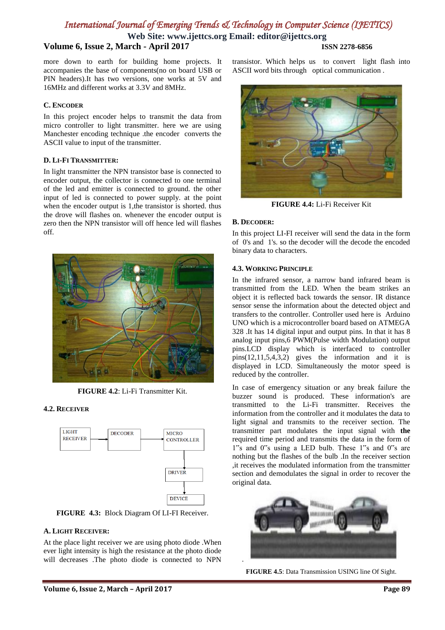**Web Site: www.ijettcs.org Email: editor@ijettcs.org**

### **Volume 6, Issue 2, March - April 2017 ISSN 2278-6856**

more down to earth for building home projects. It accompanies the base of components(no on board USB or PIN headers).It has two versions, one works at 5V and 16MHz and different works at 3.3V and 8MHz.

#### **C. ENCODER**

In this project encoder helps to transmit the data from micro controller to light transmitter. here we are using Manchester encoding technique .the encoder converts the ASCII value to input of the transmitter.

#### **D. LI-FI TRANSMITTER:**

In light transmitter the NPN transistor base is connected to encoder output, the collector is connected to one terminal of the led and emitter is connected to ground. the other input of led is connected to power supply. at the point when the encoder output is 1, the transistor is shorted. thus the drove will flashes on. whenever the encoder output is zero then the NPN transistor will off hence led will flashes off.



**FIGURE 4.2**: Li-Fi Transmitter Kit.

#### **4.2. RECEIVER**



**FIGURE 4.3:** Block Diagram Of LI-FI Receiver.

#### **A. LIGHT RECEIVER:**

At the place light receiver we are using photo diode .When ever light intensity is high the resistance at the photo diode will decreases .The photo diode is connected to NPN

transistor. Which helps us to convert light flash into ASCII word bits through optical communication .



**FIGURE 4.4:** Li-Fi Receiver Kit

#### **B. DECODER:**

In this project LI-FI receiver will send the data in the form of 0's and 1's. so the decoder will the decode the encoded binary data to characters.

#### **4.3. WORKING PRINCIPLE**

In the infrared sensor, a narrow band infrared beam is transmitted from the LED. When the beam strikes an object it is reflected back towards the sensor. IR distance sensor sense the information about the detected object and transfers to the controller. Controller used here is Arduino UNO which is a microcontroller board based on ATMEGA 328 .It has 14 digital input and output pins. In that it has 8 analog input pins,6 PWM(Pulse width Modulation) output pins.LCD display which is interfaced to controller pins(12,11,5,4,3,2) gives the information and it is displayed in LCD. Simultaneously the motor speed is reduced by the controller.

In case of emergency situation or any break failure the buzzer sound is produced. These information's are transmitted to the Li-Fi transmitter. Receives the information from the controller and it modulates the data to light signal and transmits to the receiver section. The transmitter part modulates the input signal with **the**  required time period and transmits the data in the form of 1"s and 0"s using a LED bulb. These 1"s and 0"s are nothing but the flashes of the bulb .In the receiver section ,it receives the modulated information from the transmitter section and demodulates the signal in order to recover the original data.



**FIGURE 4.5**: Data Transmission USING line Of Sight.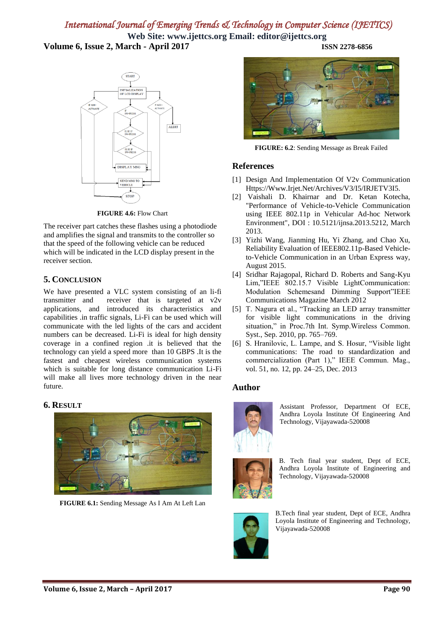**Web Site: www.ijettcs.org Email: editor@ijettcs.org Volume 6, Issue 2, March - April 2017 ISSN 2278-6856**

> **STAR** NITIA LIZATION OF LCD DISPLAY ALERT **DISPLAY MSG STOI**

**FIGURE 4.6:** Flow Chart

The receiver part catches these flashes using a photodiode and amplifies the signal and transmits to the controller so that the speed of the following vehicle can be reduced which will be indicated in the LCD display present in the receiver section.

### **5. CONCLUSION**

We have presented a VLC system consisting of an li-fi transmitter and receiver that is targeted at v2v applications, and introduced its characteristics and capabilities .in traffic signals, Li-Fi can be used which will communicate with the led lights of the cars and accident numbers can be decreased. Li-Fi is ideal for high density coverage in a confined region .it is believed that the technology can yield a speed more than 10 GBPS .It is the fastest and cheapest wireless communication systems which is suitable for long distance communication Li-Fi will make all lives more technology driven in the near future.

#### **6. RESULT**



**FIGURE 6.1:** Sending Message As I Am At Left Lan



**FIGURE: 6.2**: Sending Message as Break Failed

#### **References**

- [1] Design And Implementation Of V2v Communication Https://Www.Irjet.Net/Archives/V3/I5/IRJETV3I5.
- [2] Vaishali D. Khairnar and Dr. Ketan Kotecha, "Performance of Vehicle-to-Vehicle Communication using IEEE 802.11p in Vehicular Ad-hoc Network Environment", DOI : 10.5121/ijnsa.2013.5212, March 2013.
- [3] Yizhi Wang, Jianming Hu, Yi Zhang, and Chao Xu, Reliability Evaluation of IEEE802.11p-Based Vehicleto-Vehicle Communication in an Urban Express way, August 2015.
- [4] Sridhar Rajagopal, Richard D. Roberts and Sang-Kyu Lim,"IEEE 802.15.7 Visible LightCommunication: Modulation Schemesand Dimming Support"IEEE Communications Magazine March 2012
- [5] T. Nagura et al., "Tracking an LED array transmitter for visible light communications in the driving situation," in Proc.7th Int. Symp.Wireless Common. Syst., Sep. 2010, pp. 765–769.
- [6] S. Hranilovic, L. Lampe, and S. Hosur, "Visible light communications: The road to standardization and commercialization (Part 1)," IEEE Commun. Mag., vol. 51, no. 12, pp. 24–25, Dec. 2013

### **Author**



Assistant Professor, Department Of ECE, Andhra Loyola Institute Of Engineering And Technology, Vijayawada-520008

B. Tech final year student, Dept of ECE, Andhra Loyola Institute of Engineering and Technology, Vijayawada-520008



B.Tech final year student, Dept of ECE, Andhra Loyola Institute of Engineering and Technology, Vijayawada-520008